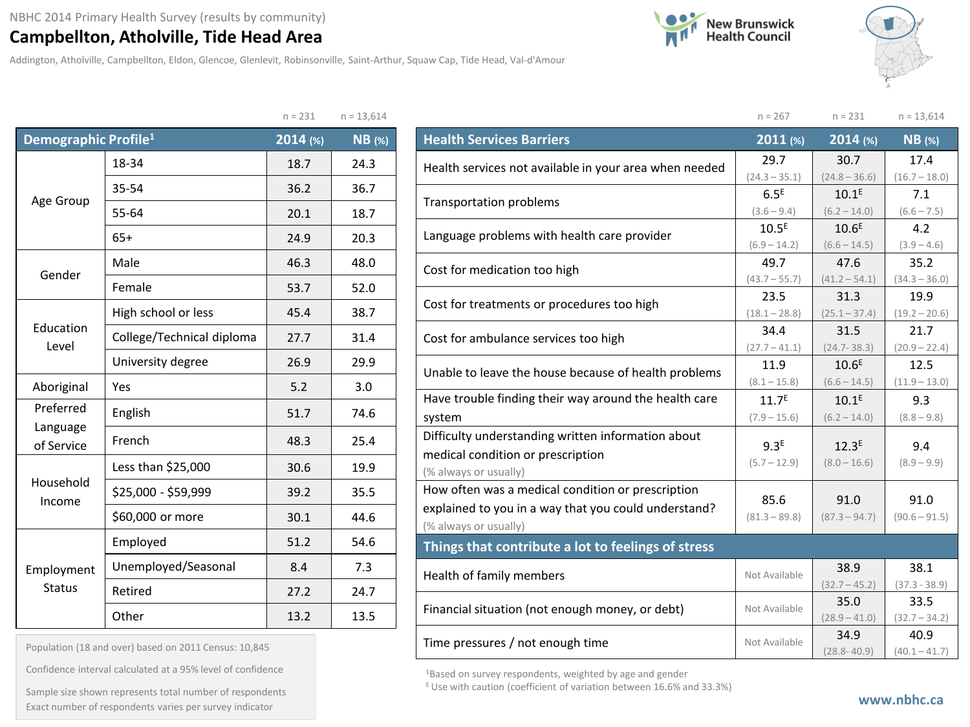## **Campbellton, Atholville, Tide Head Area**

Addington, Atholville, Campbellton, Eldon, Glencoe, Glenlevit, Robinsonville, Saint-Arthur, Squaw Cap, Tide Head, Val-d'Amour





 $n = 267$   $n = 231$   $n = 13,614$ 

|                                  |                           | $H = 2JL$ | $11 - 13,014$ |
|----------------------------------|---------------------------|-----------|---------------|
| Demographic Profile <sup>1</sup> |                           | 2014 (%)  | <b>NB</b> (%) |
|                                  | 18-34                     | 18.7      | 24.3          |
|                                  | 35-54                     | 36.2      | 36.7          |
| Age Group                        | 55-64                     | 20.1      | 18.7          |
|                                  | $65+$                     | 24.9      | 20.3          |
| Gender                           | Male                      | 46.3      | 48.0          |
|                                  | Female                    | 53.7      | 52.0          |
|                                  | High school or less       | 45.4      | 38.7          |
| Education<br>Level               | College/Technical diploma | 27.7      | 31.4          |
|                                  | University degree         | 26.9      | 29.9          |
| Aboriginal                       | Yes                       | 5.2       | 3.0           |
| Preferred                        | English                   | 51.7      | 74.6          |
| Language<br>of Service           | French                    | 48.3      | 25.4          |
|                                  | Less than \$25,000        | 30.6      | 19.9          |
| Household<br>Income              | \$25,000 - \$59,999       | 39.2      | 35.5          |
|                                  | \$60,000 or more          | 30.1      | 44.6          |
|                                  | Employed                  | 51.2      | 54.6          |
| Employment                       | Unemployed/Seasonal       | 8.4       | 7.3           |
| <b>Status</b>                    | Retired                   | 27.2      | 24.7          |
|                                  | Other                     | 13.2      | 13.5          |

| $n = 13,614$<br>$n = 231$ |  |
|---------------------------|--|
|---------------------------|--|

| <b>Health Services Barriers</b>                        | 2011 (%)          | 2014 (%)          | <b>NB</b> (%)   |
|--------------------------------------------------------|-------------------|-------------------|-----------------|
| Health services not available in your area when needed | 29.7              | 30.7              | 17.4            |
|                                                        | $(24.3 - 35.1)$   | $(24.8 - 36.6)$   | $(16.7 - 18.0)$ |
| <b>Transportation problems</b>                         | 6.5 <sup>E</sup>  | 10.1 <sup>E</sup> | 7.1             |
|                                                        | $(3.6 - 9.4)$     | $(6.2 - 14.0)$    | $(6.6 - 7.5)$   |
| Language problems with health care provider            | 10.5 <sup>E</sup> | 10.6 <sup>E</sup> | 4.2             |
|                                                        | $(6.9 - 14.2)$    | $(6.6 - 14.5)$    | $(3.9 - 4.6)$   |
| Cost for medication too high                           | 49.7              | 47.6              | 35.2            |
|                                                        | $(43.7 - 55.7)$   | $(41.2 - 54.1)$   | $(34.3 - 36.0)$ |
| Cost for treatments or procedures too high             | 23.5              | 31.3              | 19.9            |
|                                                        | $(18.1 - 28.8)$   | $(25.1 - 37.4)$   | $(19.2 - 20.6)$ |
| Cost for ambulance services too high                   | 34.4              | 31.5              | 21.7            |
|                                                        | $(27.7 - 41.1)$   | $(24.7 - 38.3)$   | $(20.9 - 22.4)$ |
| Unable to leave the house because of health problems   | 11.9              | 10.6 <sup>E</sup> | 12.5            |
|                                                        | $(8.1 - 15.8)$    | $(6.6 - 14.5)$    | $(11.9 - 13.0)$ |
| Have trouble finding their way around the health care  | 11.7 <sup>E</sup> | 10.1 <sup>E</sup> | 9.3             |
| system                                                 | $(7.9 - 15.6)$    | $(6.2 - 14.0)$    | $(8.8 - 9.8)$   |
| Difficulty understanding written information about     |                   |                   |                 |
| medical condition or prescription                      | 9.3 <sup>E</sup>  | 12.3 <sup>E</sup> | 9.4             |
| (% always or usually)                                  | $(5.7 - 12.9)$    | $(8.0 - 16.6)$    | $(8.9 - 9.9)$   |
| How often was a medical condition or prescription      |                   |                   |                 |
| explained to you in a way that you could understand?   | 85.6              | 91.0              | 91.0            |
| (% always or usually)                                  | $(81.3 - 89.8)$   | $(87.3 - 94.7)$   | $(90.6 - 91.5)$ |
| Things that contribute a lot to feelings of stress     |                   |                   |                 |
| Health of family members                               | Not Available     | 38.9              | 38.1            |
|                                                        |                   | $(32.7 - 45.2)$   | $(37.3 - 38.9)$ |
| Financial situation (not enough money, or debt)        | Not Available     | 35.0              | 33.5            |
|                                                        |                   | $(28.9 - 41.0)$   | $(32.7 - 34.2)$ |
| Time pressures / not enough time                       | Not Available     | 34.9              | 40.9            |
|                                                        |                   | (22.2)            | 140A            |

1Based on survey respondents, weighted by age and gender

 $E$  Use with caution (coefficient of variation between 16.6% and 33.3%)

Population (18 and over) based on 2011 Census: 10,845

Confidence interval calculated at a 95% level of confidence

Sample size shown represents total number of respondents Exact number of respondents varies per survey indicator **www.nbhc.ca**

 $(28.8-40.9)$   $(40.1-41.7)$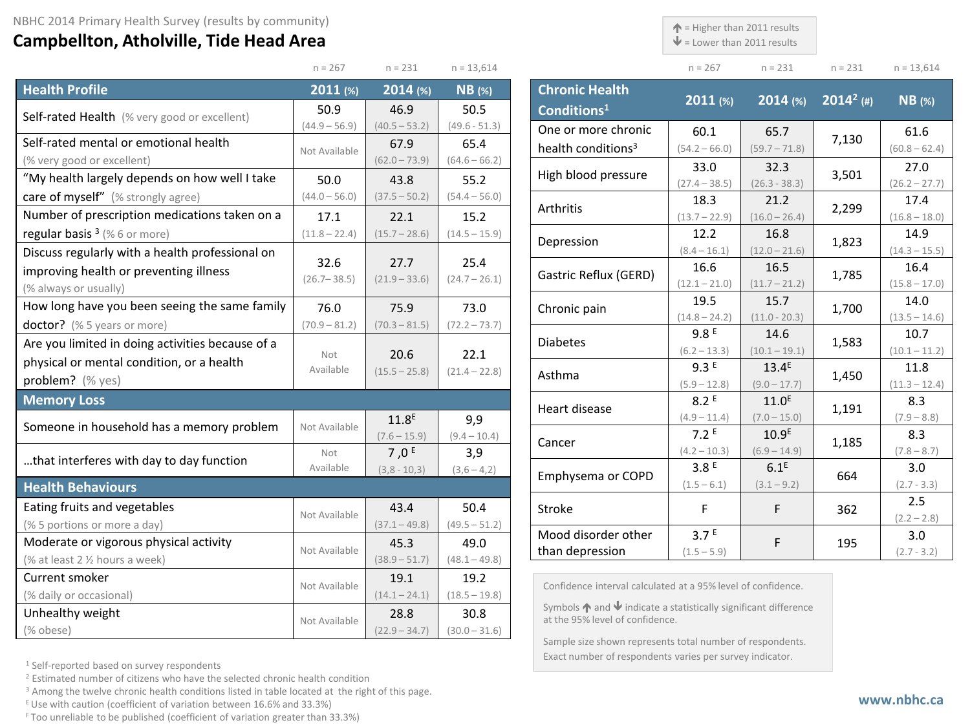## **Campbellton, Atholville, Tide Head Area**

 $\uparrow$  = Higher than 2011 results

 $\mathbf{\Psi}$  = Lower than 2011 results

Exact number of respondents varies per survey indicator.

| - - - |  |  |
|-------|--|--|

 $(60.8 - 62.4)$ 

 $(26.2 - 27.7)$ 

 $(16.8 - 18.0)$ 

 $(14.3 - 15.5)$ 

 $(15.8 - 17.0)$ 

 $(13.5 - 14.6)$ 

 $(10.1 - 11.2)$ 

 $(11.3 - 12.4)$ 

|                                                                       | $n = 267$           | $n = 231$               | $n = 13,614$            |                                                                                                                      | $n = 267$               | $n = 231$               | $n = 231$    | $n = 13,614$            |
|-----------------------------------------------------------------------|---------------------|-------------------------|-------------------------|----------------------------------------------------------------------------------------------------------------------|-------------------------|-------------------------|--------------|-------------------------|
| <b>Health Profile</b>                                                 | $2011$ (%)          | $2014$ (%)              | $NB$ (%)                | <b>Chronic Health</b>                                                                                                |                         |                         |              |                         |
| Self-rated Health (% very good or excellent)                          | 50.9                | 46.9                    | 50.5                    | Conditions <sup>1</sup>                                                                                              | $2011$ (%)              | $2014$ (%)              | $2014^2$ (#) | $NB$ (%)                |
|                                                                       | $(44.9 - 56.9)$     | $(40.5 - 53.2)$         | $(49.6 - 51.3)$         | One or more chronic                                                                                                  | 60.1                    | 65.7                    |              | 61.6                    |
| Self-rated mental or emotional health                                 | Not Available       | 67.9                    | 65.4                    | health conditions <sup>3</sup>                                                                                       | $(54.2 - 66.0)$         | $(59.7 - 71.8)$         | 7,130        | $(60.8 - 62.4)$         |
| (% very good or excellent)                                            |                     | $(62.0 - 73.9)$         | $(64.6 - 66.2)$         |                                                                                                                      | 33.0                    | 32.3                    |              | 27.0                    |
| "My health largely depends on how well I take<br>50.0<br>43.8<br>55.2 | High blood pressure | $(27.4 - 38.5)$         | $(26.3 - 38.3)$         | 3,501                                                                                                                | $(26.2 - 27.7$          |                         |              |                         |
| care of myself" (% strongly agree)                                    | $(44.0 - 56.0)$     | $(37.5 - 50.2)$         | $(54.4 - 56.0)$         | Arthritis                                                                                                            | 18.3                    | 21.2                    | 2,299        | 17.4                    |
| Number of prescription medications taken on a                         | 17.1                | 22.1                    | 15.2                    |                                                                                                                      | $(13.7 - 22.9)$         | $(16.0 - 26.4)$         |              | $(16.8 - 18.0$          |
| regular basis $3$ (% 6 or more)                                       | $(11.8 - 22.4)$     | $(15.7 - 28.6)$         | $(14.5 - 15.9)$         | Depression                                                                                                           | 12.2                    | 16.8                    | 1,823        | 14.9                    |
| Discuss regularly with a health professional on                       | 32.6                | 27.7                    | 25.4                    |                                                                                                                      | $(8.4 - 16.1)$          | $(12.0 - 21.6)$         |              | $(14.3 - 15.5)$         |
| improving health or preventing illness                                | $(26.7 - 38.5)$     | $(21.9 - 33.6)$         | $(24.7 - 26.1)$         | Gastric Reflux (GERD)                                                                                                | 16.6                    | 16.5                    | 1,785        | 16.4                    |
| (% always or usually)                                                 |                     |                         |                         |                                                                                                                      | $(12.1 - 21.0)$         | $(11.7 - 21.2)$         |              | $(15.8 - 17.0$          |
| How long have you been seeing the same family                         | 76.0                | 75.9                    | 73.0                    | Chronic pain                                                                                                         | 19.5                    | 15.7                    | 1,700        | 14.0                    |
| doctor? (% 5 years or more)                                           | $(70.9 - 81.2)$     | $(70.3 - 81.5)$         | $(72.2 - 73.7)$         |                                                                                                                      | $(14.8 - 24.2)$<br>9.8E | $(11.0 - 20.3)$<br>14.6 |              | $(13.5 - 14.6)$<br>10.7 |
| Are you limited in doing activities because of a                      |                     |                         |                         | <b>Diabetes</b>                                                                                                      | $(6.2 - 13.3)$          | $(10.1 - 19.1)$         | 1,583        | $(10.1 - 11.2)$         |
| physical or mental condition, or a health                             | Not<br>Available    | 20.6<br>$(15.5 - 25.8)$ | 22.1<br>$(21.4 - 22.8)$ |                                                                                                                      | 9.3E                    | $13.4^E$                | 1,450        | 11.8                    |
| problem? (% yes)                                                      |                     |                         |                         | Asthma                                                                                                               | $(5.9 - 12.8)$          | $(9.0 - 17.7)$          |              | $(11.3 - 12.4$          |
| <b>Memory Loss</b>                                                    |                     |                         |                         |                                                                                                                      | 8.2E                    | 11.0 <sup>E</sup>       |              | 8.3                     |
|                                                                       |                     | 11.8 <sup>E</sup>       | 9,9                     | Heart disease                                                                                                        |                         | $(7.0 - 15.0)$          | 1,191        | $(7.9 - 8.8)$           |
| Someone in household has a memory problem                             | Not Available       | $(7.6 - 15.9)$          | $(9.4 - 10.4)$          | Cancer                                                                                                               | 7.2E                    | 10.9 <sup>E</sup>       | 1,185        | 8.3                     |
| that interferes with day to day function                              | Not                 | 7,0 $E$                 | 3,9                     |                                                                                                                      | $(4.2 - 10.3)$          | $(6.9 - 14.9)$          |              | $(7.8 - 8.7)$           |
|                                                                       | Available           | $(3, 8 - 10, 3)$        | $(3,6-4,2)$             | Emphysema or COPD                                                                                                    | 3.8 <sup>E</sup>        | $6.1^E$                 | 664          | 3.0                     |
| <b>Health Behaviours</b>                                              |                     |                         |                         |                                                                                                                      | $(1.5 - 6.1)$           | $(3.1 - 9.2)$           |              | $(2.7 - 3.3)$           |
| Eating fruits and vegetables                                          | Not Available       | 43.4                    | 50.4                    | Stroke                                                                                                               | F                       | F.                      | 362          | 2.5                     |
| (% 5 portions or more a day)                                          |                     | $(37.1 - 49.8)$         | $(49.5 - 51.2)$         |                                                                                                                      |                         |                         |              | $(2.2 - 2.8)$           |
| Moderate or vigorous physical activity                                | Not Available       | 45.3                    | 49.0                    | Mood disorder other                                                                                                  | 3.7 <sup>E</sup>        | F                       | 195          | 3.0                     |
| (% at least 2 % hours a week)                                         |                     | $(38.9 - 51.7)$         | $(48.1 - 49.8)$         | than depression                                                                                                      | $(1.5 - 5.9)$           |                         |              | $(2.7 - 3.2)$           |
| Current smoker                                                        | Not Available       | 19.1                    | 19.2                    | Confidence interval calculated at a 95% level of confidence.                                                         |                         |                         |              |                         |
| (% daily or occasional)                                               |                     | $(14.1 - 24.1)$         | $(18.5 - 19.8)$         |                                                                                                                      |                         |                         |              |                         |
| Unhealthy weight                                                      | Not Available       | 28.8                    | 30.8                    | Symbols $\bigwedge$ and $\bigvee$ indicate a statistically significant difference<br>at the 95% level of confidence. |                         |                         |              |                         |
| (% obese)                                                             |                     | $(22.9 - 34.7)$         | $(30.0 - 31.6)$         |                                                                                                                      |                         |                         |              |                         |
|                                                                       |                     |                         |                         | Sample size shown represents total number of respondents.                                                            |                         |                         |              |                         |

<sup>1</sup> Self-reported based on survey respondents

<sup>2</sup> Estimated number of citizens who have the selected chronic health condition

<sup>3</sup> Among the twelve chronic health conditions listed in table located at the right of this page.

 $E$  Use with caution (coefficient of variation between 16.6% and 33.3%)

F Too unreliable to be published (coefficient of variation greater than 33.3%)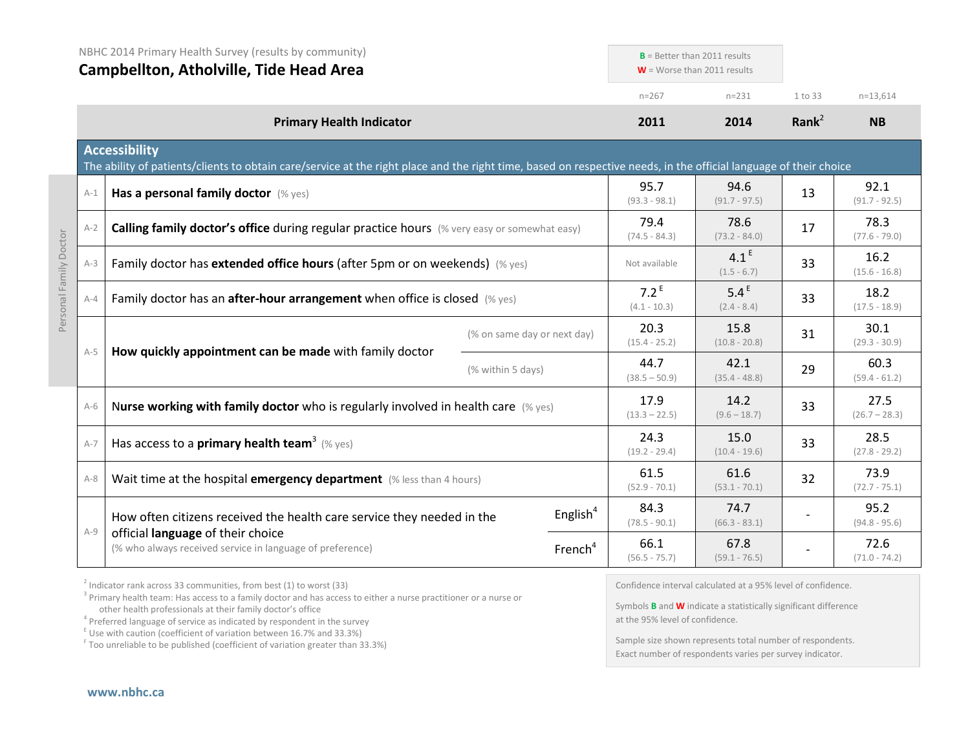|         | NBHC 2014 Primary Health Survey (results by community)<br><b>Campbellton, Atholville, Tide Head Area</b>                                                                                  |                             |                           | $B =$ Better than 2011 results<br>$W =$ Worse than 2011 results |                   |                         |
|---------|-------------------------------------------------------------------------------------------------------------------------------------------------------------------------------------------|-----------------------------|---------------------------|-----------------------------------------------------------------|-------------------|-------------------------|
|         |                                                                                                                                                                                           |                             | $n = 267$                 | $n = 231$                                                       | 1 to 33           | $n=13,614$              |
|         | <b>Primary Health Indicator</b>                                                                                                                                                           |                             | 2011                      | 2014                                                            | Rank <sup>2</sup> | <b>NB</b>               |
|         | <b>Accessibility</b><br>The ability of patients/clients to obtain care/service at the right place and the right time, based on respective needs, in the official language of their choice |                             |                           |                                                                 |                   |                         |
| $A-1$   | Has a personal family doctor (% yes)                                                                                                                                                      |                             | 95.7<br>$(93.3 - 98.1)$   | 94.6<br>$(91.7 - 97.5)$                                         | 13                | 92.1<br>$(91.7 - 92.5)$ |
| $A-2$   | Calling family doctor's office during regular practice hours (% very easy or somewhat easy)                                                                                               |                             | 79.4<br>$(74.5 - 84.3)$   | 78.6<br>$(73.2 - 84.0)$                                         | 17                | 78.3<br>$(77.6 - 79.0)$ |
| $A-3$   | Family doctor has extended office hours (after 5pm or on weekends) (% yes)                                                                                                                |                             | Not available             | 4.1 <sup>E</sup><br>$(1.5 - 6.7)$                               | 33                | 16.2<br>$(15.6 - 16.8)$ |
| $A - 4$ | Family doctor has an <b>after-hour arrangement</b> when office is closed $(\%$ yes)                                                                                                       |                             | $7.2^E$<br>$(4.1 - 10.3)$ | 5.4 <sup>E</sup><br>$(2.4 - 8.4)$                               | 33                | 18.2<br>$(17.5 - 18.9)$ |
|         |                                                                                                                                                                                           | (% on same day or next day) | 20.3<br>$(15.4 - 25.2)$   | 15.8<br>$(10.8 - 20.8)$                                         | 31                | 30.1<br>$(29.3 - 30.9)$ |
| $A-5$   | How quickly appointment can be made with family doctor                                                                                                                                    | (% within 5 days)           | 44.7<br>$(38.5 - 50.9)$   | 42.1<br>$(35.4 - 48.8)$                                         | 29                | 60.3<br>$(59.4 - 61.2)$ |
| $A-6$   | Nurse working with family doctor who is regularly involved in health care $(\%$ yes)                                                                                                      |                             | 17.9<br>$(13.3 - 22.5)$   | 14.2<br>$(9.6 - 18.7)$                                          | 33                | 27.5<br>$(26.7 - 28.3)$ |
| $A-7$   | Has access to a primary health team <sup>3</sup> (% yes)                                                                                                                                  |                             | 24.3<br>$(19.2 - 29.4)$   | 15.0<br>$(10.4 - 19.6)$                                         | 33                | 28.5<br>$(27.8 - 29.2)$ |
| $A-8$   | Wait time at the hospital emergency department (% less than 4 hours)                                                                                                                      |                             | 61.5<br>$(52.9 - 70.1)$   | 61.6<br>$(53.1 - 70.1)$                                         | 32                | 73.9<br>$(72.7 - 75.1)$ |
|         | How often citizens received the health care service they needed in the                                                                                                                    | English <sup>4</sup>        | 84.3<br>$(78.5 - 90.1)$   | 74.7<br>$(66.3 - 83.1)$                                         |                   | 95.2<br>$(94.8 - 95.6)$ |
| $A-9$   | official language of their choice<br>(% who always received service in language of preference)                                                                                            | French <sup>4</sup>         | 66.1<br>$(56.5 - 75.7)$   | 67.8<br>$(59.1 - 76.5)$                                         |                   | 72.6<br>$(71.0 - 74.2)$ |

 $2$  Indicator rank across 33 communities, from best (1) to worst (33)

<sup>3</sup> Primary health team: Has access to a family doctor and has access to either a nurse practitioner or a nurse or other health professionals at their family doctor's office

 $\frac{1}{2}$  Use with caution (coefficient of variation between 16.7% and 33.3%)

<sup>F</sup> Too unreliable to be published (coefficient of variation greater than 33.3%)

Confidence interval calculated at a 95% level of confidence.

Symbols **B** and **W** indicate a statistically significant difference at the 95% level of confidence.

Sample size shown represents total number of respondents. Exact number of respondents varies per survey indicator.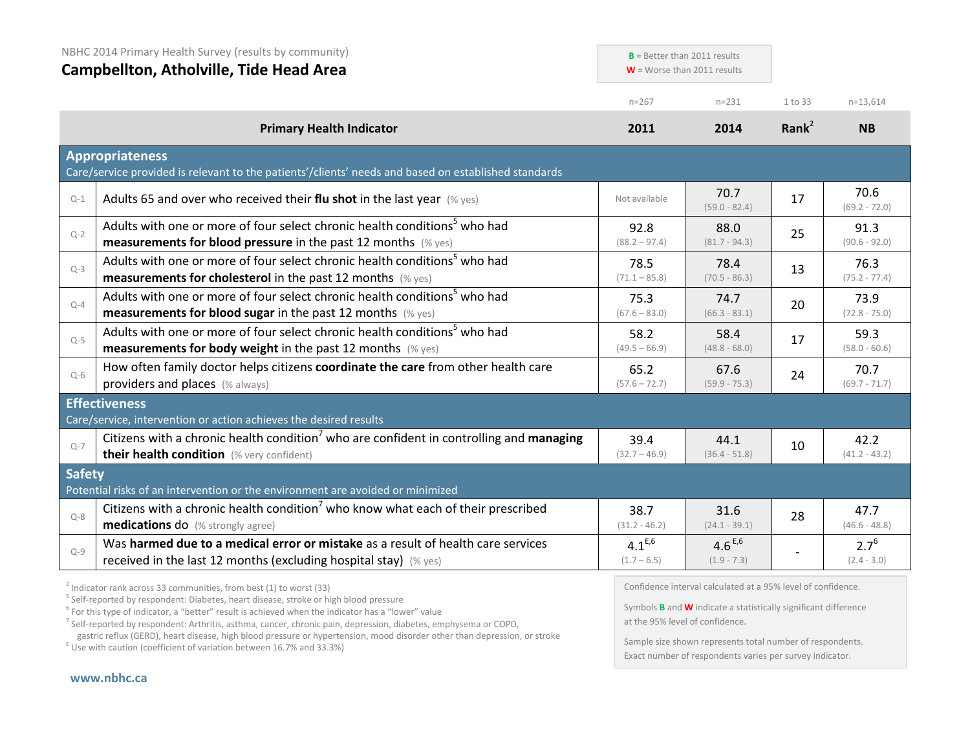| NBHC 2014 Primary Health Survey (results by community)<br><b>Campbellton, Atholville, Tide Head Area</b> |                                                                                                                                                                                                                       | $B =$ Better than 2011 results<br>$W =$ Worse than 2011 results |                              |                   |                            |
|----------------------------------------------------------------------------------------------------------|-----------------------------------------------------------------------------------------------------------------------------------------------------------------------------------------------------------------------|-----------------------------------------------------------------|------------------------------|-------------------|----------------------------|
|                                                                                                          |                                                                                                                                                                                                                       | $n = 267$                                                       | $n = 231$                    | 1 to 33           | $n=13,614$                 |
|                                                                                                          | <b>Primary Health Indicator</b>                                                                                                                                                                                       | 2011                                                            | 2014                         | Rank <sup>2</sup> | <b>NB</b>                  |
|                                                                                                          | <b>Appropriateness</b><br>Care/service provided is relevant to the patients'/clients' needs and based on established standards                                                                                        |                                                                 |                              |                   |                            |
| $Q-1$                                                                                                    | Adults 65 and over who received their flu shot in the last year $(\%$ yes)                                                                                                                                            | Not available                                                   | 70.7<br>$(59.0 - 82.4)$      | 17                | 70.6<br>$(69.2 - 72.0)$    |
| $Q-2$                                                                                                    | Adults with one or more of four select chronic health conditions <sup>5</sup> who had<br><b>measurements for blood pressure</b> in the past 12 months $(\%$ yes)                                                      | 92.8<br>$(88.2 - 97.4)$                                         | 88.0<br>$(81.7 - 94.3)$      | 25                | 91.3<br>$(90.6 - 92.0)$    |
| $Q-3$                                                                                                    | Adults with one or more of four select chronic health conditions <sup>5</sup> who had<br><b>measurements for cholesterol</b> in the past 12 months (% yes)                                                            | 78.5<br>$(71.1 - 85.8)$                                         | 78.4<br>$(70.5 - 86.3)$      | 13                | 76.3<br>$(75.2 - 77.4)$    |
| $Q - 4$                                                                                                  | Adults with one or more of four select chronic health conditions <sup>5</sup> who had<br><b>measurements for blood sugar in the past 12 months</b> (% yes)                                                            | 75.3<br>$(67.6 - 83.0)$                                         | 74.7<br>$(66.3 - 83.1)$      | 20                | 73.9<br>$(72.8 - 75.0)$    |
| $Q-5$                                                                                                    | Adults with one or more of four select chronic health conditions <sup>5</sup> who had<br><b>measurements for body weight</b> in the past 12 months (% yes)                                                            | 58.2<br>$(49.5 - 66.9)$                                         | 58.4<br>$(48.8 - 68.0)$      | 17                | 59.3<br>$(58.0 - 60.6)$    |
| $Q-6$                                                                                                    | How often family doctor helps citizens coordinate the care from other health care<br>providers and places (% always)                                                                                                  | 65.2<br>$(57.6 - 72.7)$                                         | 67.6<br>$(59.9 - 75.3)$      | 24                | 70.7<br>$(69.7 - 71.7)$    |
|                                                                                                          | <b>Effectiveness</b>                                                                                                                                                                                                  |                                                                 |                              |                   |                            |
| $Q - 7$                                                                                                  | Care/service, intervention or action achieves the desired results<br>Citizens with a chronic health condition <sup>7</sup> who are confident in controlling and managing<br>their health condition (% very confident) | 39.4<br>$(32.7 - 46.9)$                                         | 44.1<br>$(36.4 - 51.8)$      | 10                | 42.2<br>$(41.2 - 43.2)$    |
| <b>Safety</b>                                                                                            | Potential risks of an intervention or the environment are avoided or minimized                                                                                                                                        |                                                                 |                              |                   |                            |
| $Q - 8$                                                                                                  | Citizens with a chronic health condition <sup>7</sup> who know what each of their prescribed<br><b>medications do</b> (% strongly agree)                                                                              | 38.7<br>$(31.2 - 46.2)$                                         | 31.6<br>$(24.1 - 39.1)$      | 28                | 47.7<br>$(46.6 - 48.8)$    |
| $Q-9$                                                                                                    | Was harmed due to a medical error or mistake as a result of health care services<br>received in the last 12 months (excluding hospital stay) $(\%$ yes)                                                               | $4.1^{E,6}$<br>$(1.7 - 6.5)$                                    | $4.6^{E,6}$<br>$(1.9 - 7.3)$ |                   | $2.7^{6}$<br>$(2.4 - 3.0)$ |

<sup>2</sup> Indicator rank across 33 communities, from best (1) to worst (33)<br><sup>5</sup> Self-reported by respondent: Diabetes, heart disease, stroke or high blood pressure

 $6$  For this type of indicator, a "better" result is achieved when the indicator has a "lower" value

<sup>7</sup> Self-reported by respondent: Arthritis, asthma, cancer, chronic pain, depression, diabetes, emphysema or COPD, gastric reflux (GERD), heart disease, high blood pressure or hypertension, mood disorder other than depression, or stroke E Use with caution (coefficient of variation between 16.7% and 33.3%)

Confidence interval calculated at a 95% level of confidence.

Symbols **B** and **W** indicate a statistically significant difference at the 95% level of confidence.

Sample size shown represents total number of respondents. Exact number of respondents varies per survey indicator.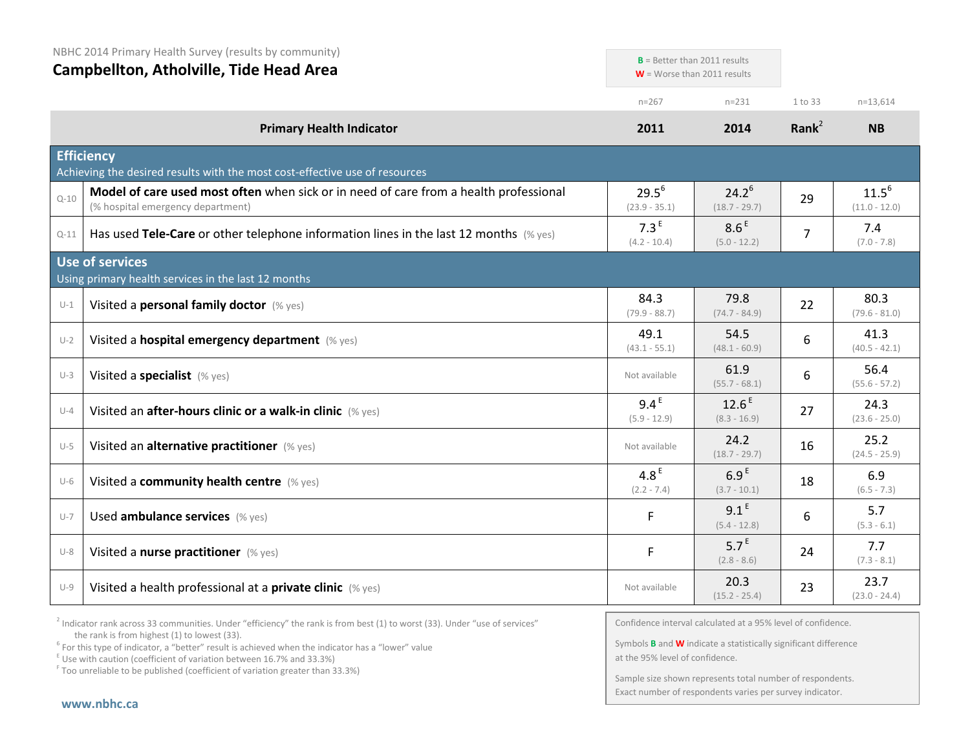|  |  | NBHC 2014 Primary Health Survey (results by community) |
|--|--|--------------------------------------------------------|
|--|--|--------------------------------------------------------|

**Campbellton, Atholville, Tide Head Area**

| Campbeliton, Atholyille, Tide Head Area |                                                                                                                            |                                    | $W =$ Worse than 2011 results       |                |                               |
|-----------------------------------------|----------------------------------------------------------------------------------------------------------------------------|------------------------------------|-------------------------------------|----------------|-------------------------------|
|                                         |                                                                                                                            | $n = 267$                          | $n = 231$                           | 1 to 33        | $n=13,614$                    |
|                                         | <b>Primary Health Indicator</b>                                                                                            | 2011                               | 2014                                | Rank $^2$      | <b>NB</b>                     |
|                                         | <b>Efficiency</b><br>Achieving the desired results with the most cost-effective use of resources                           |                                    |                                     |                |                               |
| $Q - 10$                                | Model of care used most often when sick or in need of care from a health professional<br>(% hospital emergency department) | $29.5^6$<br>$(23.9 - 35.1)$        | $24.2^6$<br>$(18.7 - 29.7)$         | 29             | $11.5^{6}$<br>$(11.0 - 12.0)$ |
| $Q-11$                                  | Has used Tele-Care or other telephone information lines in the last 12 months $(\%$ yes)                                   | 7.3 <sup>E</sup><br>$(4.2 - 10.4)$ | 8.6 <sup>E</sup><br>$(5.0 - 12.2)$  | $\overline{7}$ | 7.4<br>$(7.0 - 7.8)$          |
|                                         | <b>Use of services</b><br>Using primary health services in the last 12 months                                              |                                    |                                     |                |                               |
| $U-1$                                   | Visited a personal family doctor (% yes)                                                                                   | 84.3<br>$(79.9 - 88.7)$            | 79.8<br>$(74.7 - 84.9)$             | 22             | 80.3<br>$(79.6 - 81.0)$       |
| $U-2$                                   | Visited a hospital emergency department (% yes)                                                                            | 49.1<br>$(43.1 - 55.1)$            | 54.5<br>$(48.1 - 60.9)$             | 6              | 41.3<br>$(40.5 - 42.1)$       |
| $U-3$                                   | Visited a specialist (% yes)                                                                                               | Not available                      | 61.9<br>$(55.7 - 68.1)$             | 6              | 56.4<br>$(55.6 - 57.2)$       |
| $U-4$                                   | Visited an after-hours clinic or a walk-in clinic (% yes)                                                                  | 9.4 <sup>E</sup><br>$(5.9 - 12.9)$ | 12.6 <sup>E</sup><br>$(8.3 - 16.9)$ | 27             | 24.3<br>$(23.6 - 25.0)$       |
| $U-5$                                   | Visited an alternative practitioner (% yes)                                                                                | Not available                      | 24.2<br>$(18.7 - 29.7)$             | 16             | 25.2<br>$(24.5 - 25.9)$       |
| $U-6$                                   | Visited a community health centre (% yes)                                                                                  | 4.8 <sup>E</sup><br>$(2.2 - 7.4)$  | 6.9 <sup>E</sup><br>$(3.7 - 10.1)$  | 18             | 6.9<br>$(6.5 - 7.3)$          |
| $U - 7$                                 | Used ambulance services (% yes)                                                                                            | F                                  | 9.1 <sup>E</sup><br>$(5.4 - 12.8)$  | 6              | 5.7<br>$(5.3 - 6.1)$          |
| $U-8$                                   | Visited a nurse practitioner (% yes)                                                                                       | F                                  | 5.7 <sup>E</sup><br>$(2.8 - 8.6)$   | 24             | 7.7<br>$(7.3 - 8.1)$          |
| $U-9$                                   | Visited a health professional at a <b>private clinic</b> (% yes)                                                           | Not available                      | 20.3<br>$(15.2 - 25.4)$             | 23             | 23.7<br>$(23.0 - 24.4)$       |

 $2$  Indicator rank across 33 communities. Under "efficiency" the rank is from best (1) to worst (33). Under "use of services" the rank is from highest (1) to lowest (33).

<sup>6</sup> For this type of indicator, a "better" result is achieved when the indicator has a "lower" value  $E$ <sup>E</sup> Use with caution (coefficient of variation between 16.7% and 33.3%)

 $F$  Too unreliable to be published (coefficient of variation greater than 33.3%)

Confidence interval calculated at a 95% level of confidence.

**B** = Better than 2011 results

Symbols **B** and **W** indicate a statistically significant difference at the 95% level of confidence.

Sample size shown represents total number of respondents. Exact number of respondents varies per survey indicator.